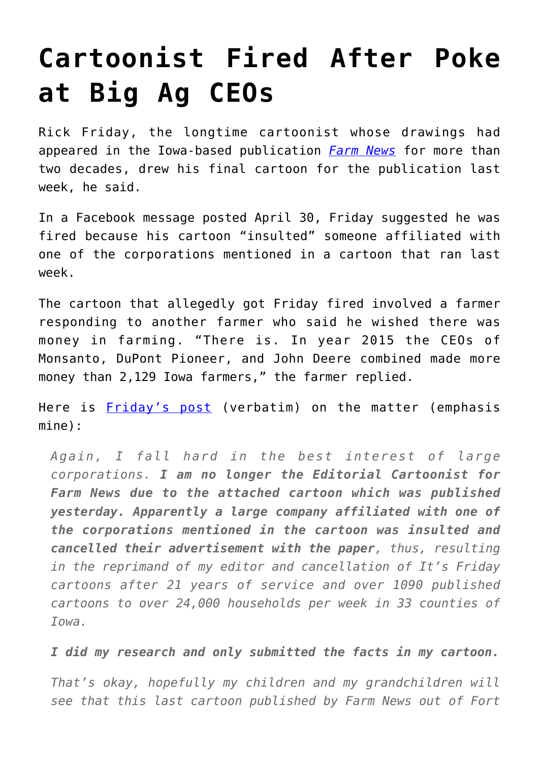## **[Cartoonist Fired After Poke](https://intellectualtakeout.org/2016/05/cartoonist-fired-after-poke-at-big-ag-ceos/) [at Big Ag CEOs](https://intellectualtakeout.org/2016/05/cartoonist-fired-after-poke-at-big-ag-ceos/)**

Rick Friday, the longtime cartoonist whose drawings had appeared in the Iowa-based publication *[Farm News](http://www.farm-news.com/)* for more than two decades, drew his final cartoon for the publication last week, he said.

In a Facebook message posted April 30, Friday suggested he was fired because his cartoon "insulted" someone affiliated with one of the corporations mentioned in a cartoon that ran last week.

The cartoon that allegedly got Friday fired involved a farmer responding to another farmer who said he wished there was money in farming. "There is. In year 2015 the CEOs of Monsanto, DuPont Pioneer, and John Deere combined made more money than 2,129 Iowa farmers," the farmer replied.

Here is [Friday's post](https://www.facebook.com/rick.friday.3/posts/10208214646576953) (verbatim) on the matter (emphasis mine):

*Again, I fall hard in the best interest of large corporations. I am no longer the Editorial Cartoonist for Farm News due to the attached cartoon which was published yesterday. Apparently a large company affiliated with one of the corporations mentioned in the cartoon was insulted and cancelled their advertisement with the paper, thus, resulting in the reprimand of my editor and cancellation of It's Friday cartoons after 21 years of service and over 1090 published cartoons to over 24,000 households per week in 33 counties of Iowa.*

*I did my research and only submitted the facts in my cartoon.*

*That's okay, hopefully my children and my grandchildren will see that this last cartoon published by Farm News out of Fort*